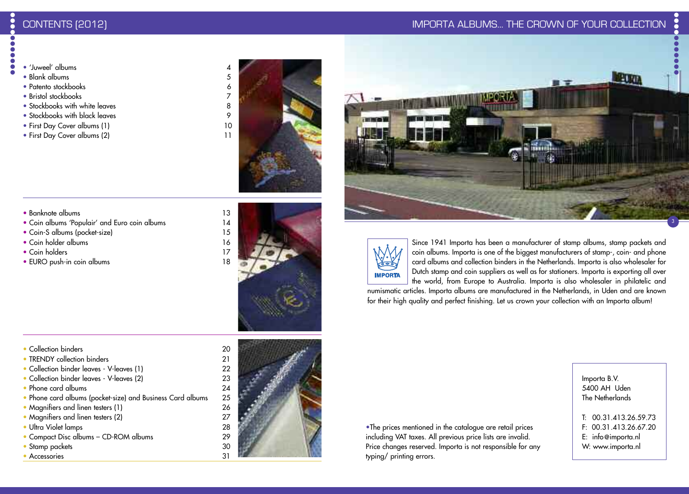# CONTENTS (2012) IMPORTA ALBUMS... THE CROWN OF YOUR COLLECTION

- $\bullet$  'luweel' albums  $\bullet$
- Blank albums 5
- Patento stockbooks 6
- Bristol stockbooks 7
- Stockbooks with white leaves 8
- Stockbooks with black leaves 9
- First Day Cover albums (1) 10
- First Day Cover albums (2) 11





- Banknote albums 13
- Coin albums 'Populair' and Euro coin albums 14
- Coin-S albums (pocket-size) 15
- Coin holder albums 16
- Coin holders 17
- EURO push-in coin albums 18



- Collection binders 20
- TRENDY collection binders 21
- Collection binder leaves V-leaves (1) 22
- Collection binder leaves V-leaves (2) 23
- Phone card albums 24
- Phone card albums (pocket-size) and Business Card albums 25
- Magnifiers and linen testers (1) 26
- Magnifiers and linen testers (2) 27
- Ultra Violet lamps 28
- Compact Disc albums CD-ROM albums 29
- Stamp packets 30<br>• Accessories 31
- Accessories



Since 1941 Importa has been a manufacturer of stamp albums, stamp packets and coin albums. Importa is one of the biggest manufacturers of stamp-, coin- and phone card albums and collection binders in the Netherlands. Importa is also wholesaler for Dutch stamp and coin suppliers as well as for stationers. Importa is exporting all over the world, from Europe to Australia. Importa is also wholesaler in philatelic and

numismatic articles. Importa albums are manufactured in the Netherlands, in Uden and are known for their high quality and perfect finishing. Let us crown your collection with an Importa album!

•The prices mentioned in the catalogue are retail prices including VAT taxes. All previous price lists are invalid. Price changes reserved. Importa is not responsible for any typing/ printing errors.

Importa B.V. 5400 AH Uden The Netherlands

T: 00.31.413.26.59.73 F: 00.31.413.26.67.20 E: info @importa.nl W: www.importa.nl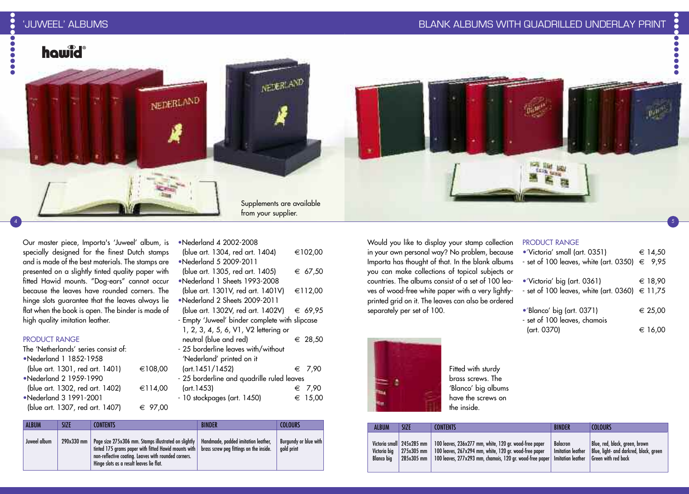## BLANK ALBUMS WITH QUADRILLED UNDERLAY PRINT

 $\bullet$ 

4



Our master piece, Importa's 'Juweel' album, is specially designed for the finest Dutch stamps and is made of the best materials. The stamps are presented on a slightly tinted quality paper with fitted Hawid mounts. "Dog-ears" cannot occur because the leaves have rounded corners. The hinge slots guarantee that the leaves always lie flat when the book is open. The binder is made of high quality imitation leather.

#### PRODUCT RANGE

| The 'Netherlands' series consist of: |         |
|--------------------------------------|---------|
| •Nederland 1 1852-1958               |         |
| (blue art. 1301, red art. 1401)      | €108,00 |
| •Nederland 2 1959-1990               |         |
| (blue art. 1302, red art. 1402)      | €114,00 |
| •Nederland 3 1991-2001               |         |
| (blue art. 1307, red art. 1407)      | € 97.00 |
|                                      |         |

(blue art. 1304, red art. 1404) €102,00 •Nederland 5 2009-2011 (blue art. 1305, red art. 1405)  $€ 67,50$ •Nederland 1 Sheets 1993-2008 (blue art. 1301V, red art. 1401V) €112,00 •Nederland 2 Sheets 2009-2011 (blue art. 1302V, red art. 1402V)  $€ 69,95$ - Empty 'Juweel' binder complete with slipcase 1, 2, 3, 4, 5, 6, V1, V2 lettering or

•Nederland 4 2002-2008

- neutral (blue and red)  $\epsilon$  28,50 - 25 borderline leaves with/without 'Nederland' printed on it  $(\text{art.1451}/1452)$   $\in$  7,90 - 25 borderline and quadrille ruled leaves  $(\text{art.1453})$   $\in$  7,90
- $-10$  stockpages (art. 1450)  $\epsilon$  15,00
- 

| <b>ALBUM</b> | SIZE       | <b>CONTENTS</b>                                                                                                                                                                                                                                            | <b>BINDER</b>                       | <b>COLOURS</b>                      |  |
|--------------|------------|------------------------------------------------------------------------------------------------------------------------------------------------------------------------------------------------------------------------------------------------------------|-------------------------------------|-------------------------------------|--|
| Juweel album | 290x330 mm | Page size 275x306 mm. Stamps illustrated on slightly<br>tinted 175 grams paper with fitted Hawid mounts with   brass screw peg fittings on the inside.<br>non-reflective coating. Leaves with rounded corners.<br>Hinge slots as a result leaves lie flat. | Handmade, padded imitation leather, | Burgundy or blue with<br>gold print |  |

Would you like to display your stamp collection in your own personal way? No problem, because Importa has thought of that. In the blank albums you can make collections of topical subjects or countries. The albums consist of a set of 100 leaves of wood-free white paper with a very lightlyprinted grid on it. The leaves can also be ordered separately per set of 100.

#### PRODUCT RANGE

| •'Victoria' small (art. 0351)                          | € 14.50 |
|--------------------------------------------------------|---------|
| - set of 100 leaves, white (art. 0350) $\epsilon$ 9,95 |         |
| •'Victoria' big (art. 0361)                            | € 18.90 |
| - set of 100 leaves, white (art. 0360) $\in$ 11,75     |         |
| •'Blanco' big (art. 0371)                              | € 25,00 |
| - set of 100 leaves, chamois                           |         |
| (art. 0370)                                            | € 16,00 |



Fitted with sturdy brass screws. The 'Blanco' big albums have the screws on the inside.

| <b>ALBUM</b>                                            | SIZE                       | <b>CONTENTS</b>                                                                                                                                                              | <b>BINDER</b>                                                    | <b>COLOURS</b>                                                                                         |
|---------------------------------------------------------|----------------------------|------------------------------------------------------------------------------------------------------------------------------------------------------------------------------|------------------------------------------------------------------|--------------------------------------------------------------------------------------------------------|
| Victoria small 245x285 mm<br>Victoria bia<br>Blanco bia | $275x305$ mm<br>285x305 mm | 100 leaves, 236x277 mm, white, 120 gr. wood-free paper<br>100 leaves, 267x294 mm, white, 120 gr. wood-free paper<br>100 leaves, 277x293 mm, chamois, 120 gr. wood-free paper | <b>Balacron</b><br>Imitation leather<br><b>Imitation leather</b> | Blue, red, black, green, brown<br>Blue, light- and darkred, black, green<br><b>Green with red back</b> |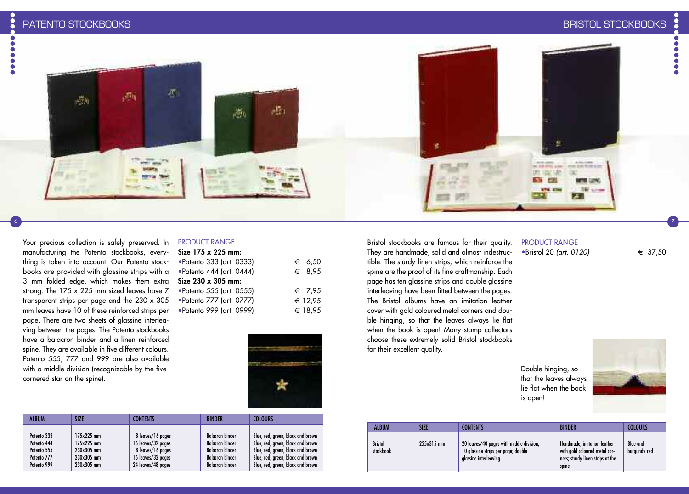i

Your precious collection is safely preserved. In manufacturing the Patento stockbooks, everything is taken into account. Our Patento stockbooks are provided with glassine strips with a 3 mm folded edge, which makes them extra strong. The 175 x 225 mm sized leaves have 7 transparent strips per page and the 230 x 305 mm leaves have 10 of these reinforced strips per page. There are two sheets of glassine interleaving between the pages. The Patento stockbooks have a balacron binder and a linen reinforced spine. They are available in five different colours. Patento 555, 777 and 999 are also available with a middle division (recognizable by the five-

cornered star on the spine).

 $\bullet$ 



6 7

### PRODUCT RANGE

| Size $175 \times 225$ mm: |                 |
|---------------------------|-----------------|
| • Patento 333 (art. 0333) | € 6.50          |
| • Patento 444 (art. 0444) | € 8,95          |
| Size $230 \times 305$ mm: |                 |
| • Patento 555 (art. 0555) | $\epsilon$ 7,95 |
| • Patento 777 (art. 0777) | € 12,95         |
| • Patento 999 (art. 0999) | € 18.95         |
|                           |                 |



| <b>ALBUM</b> | SIZE       | <b>CONTENTS</b>    | <b>BINDER</b>          | <b>COLOURS</b>                    |
|--------------|------------|--------------------|------------------------|-----------------------------------|
| Patento 333  | 175x225 mm | 8 leaves/16 pages  | <b>Balacron binder</b> | Blue, red, green, black and brown |
| Patento 444  | 175x225 mm | 16 leaves/32 pages | <b>Balacron binder</b> | Blue, red, green, black and brown |
| Patento 555  | 230x305 mm | 8 leaves/16 pages  | <b>Balacron binder</b> | Blue, red, green, black and brown |
| Patento 777  | 230x305 mm | 16 leaves/32 pages | <b>Balacron binder</b> | Blue, red, green, black and brown |
| Patento 999  | 230x305 mm | 24 leaves/48 pages | <b>Balacran binder</b> | Blue, red, green, black and brown |

Bristol stockbooks are famous for their quality. They are handmade, solid and almost indestructible. The sturdy linen strips, which reinforce the spine are the proof of its fine craftmanship. Each page has ten glassine strips and double glassine interleaving have been fitted between the pages. The Bristol albums have an imitation leather cover with gold coloured metal corners and double hinging, so that the leaves always lie flat when the book is open! Many stamp collectors choose these extremely solid Bristol stockbooks for their excellent quality.

# PRODUCT RANGE

•Bristol 20 *(art. 0120)* € 37,50

Double hinging, so that the leaves always lie flat when the book is open!

| S |  |  |
|---|--|--|
|   |  |  |

| <b>ALBUM</b>                | SIZE       | <b>CONTENTS</b>                                                                                           | <b>BINDER</b>                                                                                             | <b>COLOURS</b>                  |
|-----------------------------|------------|-----------------------------------------------------------------------------------------------------------|-----------------------------------------------------------------------------------------------------------|---------------------------------|
| <b>Bristol</b><br>stockbook | 255x315 mm | 20 leaves/40 pages with middle division;<br>10 glassine strips per page; double<br>glassine interleaving. | Handmade, imitation leather<br>with gold coloured metal cor-<br>ners; sturdy linen strips at the<br>spine | <b>Blue and</b><br>burgundy red |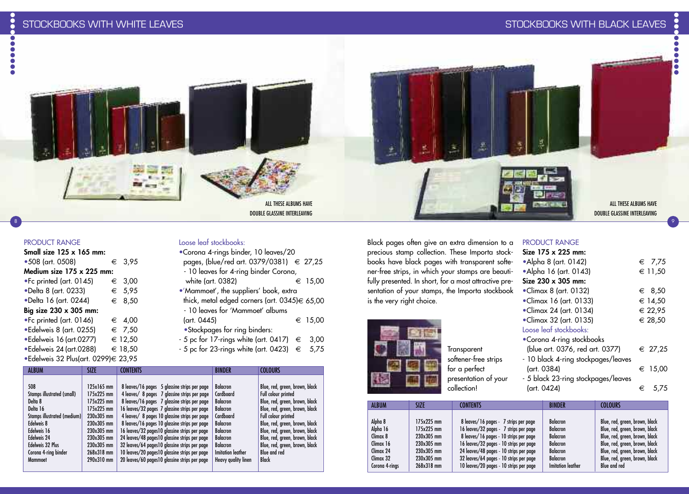

#### PRODUCT RANGE

| Small size $125 \times 165$ mm:     |  |                 |  |  |  |  |
|-------------------------------------|--|-----------------|--|--|--|--|
| •508 (art. 0508)                    |  | € 3,95          |  |  |  |  |
| Medium size 175 x 225 mm:           |  |                 |  |  |  |  |
| .Fc printed (art. 0145)             |  | € 3,00          |  |  |  |  |
| •Delta 8 (art. 0233)                |  | $\epsilon$ 5,95 |  |  |  |  |
| •Delta 16 (art. 0244)               |  | € 8,50          |  |  |  |  |
| Big size 230 x 305 mm:              |  |                 |  |  |  |  |
| .Fc printed (art. 0146)             |  | € 4,00          |  |  |  |  |
| ·Edelweis 8 (art. 0255)             |  | € 7,50          |  |  |  |  |
| •Edelweis 16 (art.0277)             |  | € 12,50         |  |  |  |  |
| •Edelweis 24 (art.0288)             |  | € 18,50         |  |  |  |  |
| •Edelweis 32 Plus(art. 0299)€ 23,95 |  |                 |  |  |  |  |

#### Loose leaf stockbooks: •Corona 4-rings binder, 10 leaves/20

| "Corona 4-rings binder, TV leaves/ZU          |   |         |
|-----------------------------------------------|---|---------|
| pages, (blue/red art. 0379/0381) € 27,25      |   |         |
| - 10 leaves for 4-ring binder Corona,         |   |         |
| white (art. 0382)                             |   | € 15.00 |
| •'Mammoet', the suppliers' book, extra        |   |         |
| thick, metal edged corners (art. 0345)€ 65,00 |   |         |
| - 10 leaves for 'Mammoet' albums              |   |         |
| (art. 0445)                                   |   | € 15,00 |
| • Stockpages for ring binders:                |   |         |
| - 5 pc for 17-rings white (art. 0417)         | € | 3.00    |
|                                               |   |         |

 $-5$  pc for 23-rings white (art. 0423)  $\epsilon$  5,75

| <b>ALBUM</b>                | <b>SIZE</b> | <b>CONTENTS</b>                               | <b>BINDER</b>            | <b>COLOURS</b>                 |
|-----------------------------|-------------|-----------------------------------------------|--------------------------|--------------------------------|
| 508                         | 125x165 mm  | 8 leaves/16 pages 5 glassine strips per page  | <b>Balacron</b>          | Blue, red, green, brown, black |
| Stamps illustrated (small)  | 175x225 mm  | 4 leaves/ 8 pages 7 glassine strips per page  | Cardboard                | Full colour printed            |
| Delta 8                     | 175x225 mm  | 8 leaves/16 pages 7 glassine strips per page  | <b>Balacron</b>          | Blue, red, green, brown, black |
| Delta 16                    | 175x225 mm  | 16 leaves/32 pages 7 glassine strips per page | <b>Balacron</b>          | Blue, red, green, brown, black |
| Stamps illustrated (medium) | 230x305 mm  | 4 leaves/ 8 pages 10 glassine strips per page | Cardboard                | Full colour printed            |
| Edelweis 8                  | 230x305 mm  | 8 leaves/16 pages 10 glassine strips per page | <b>Balacron</b>          | Blue, red, green, brown, black |
| Edelweis 16                 | 230x305 mm  | 16 leaves/32 pages10 glassine strips per page | <b>Balacron</b>          | Blue, red, green, brown, black |
| Edelweis 24                 | 230x305 mm  | 24 leaves/48 pages10 glassine strips per page | <b>Balacron</b>          | Blue, red, green, brown, black |
| <b>Edelweis 32 Plus</b>     | 230x305 mm  | 32 leaves/64 pages10 glassine strips per page | <b>Balacron</b>          | Blue, red, green, brown, black |
| Corona 4-ring binder        | 268x318 mm  | 10 leaves/20 pages10 glassine strips per page | <b>Imitation leather</b> | <b>Blue and red</b>            |
| Mammoet                     | 290x310 mm  | 20 leaves/60 pages10 glassine strips per page | Heavy quality linen      | <b>Black</b>                   |

Black pages often give an extra dimension to a precious stamp collection. These Importa stockbooks have black pages with transparent softener-free strips, in which your stamps are beautifully presented. In short, for a most attractive presentation of your stamps, the Importa stockbook is the very right choice.



### Transparent softener-free strips for a perfect presentation of your collection!

# PRODUCT RANGE

| Size 175 x 225 mm:                  |   |                 |
|-------------------------------------|---|-----------------|
| •Alpha 8 (art. 0142)                |   | $\epsilon$ 7.75 |
| • Alpha 16 (art. 0143)              |   | € 11,50         |
| Size $230 \times 305$ mm:           |   |                 |
| $\bullet$ Climax 8 (art. 0132)      |   | $∈$ 8,50        |
| $\bullet$ Climax 16 (art. 0133)     |   | € 14,50         |
| •Climax 24 (art. 0134)              |   | € 22,95         |
| •Climax 32 (art. 0135)              |   | € 28,50         |
| Loose leaf stockbooks:              |   |                 |
| • Corona 4-ring stockbooks          |   |                 |
| (blue art. 0376, red art. 0377)     |   | € 27,25         |
| - 10 black 4-ring stockpages/leaves |   |                 |
| (art. 0384)                         |   | ∈ 15,00         |
| - 5 black 23-ring stockpages/leaves |   |                 |
| (art. 0424)                         | € | 5.75            |
|                                     |   |                 |

| <b>ALBUM</b>   | <b>SIZE</b>  | <b>CONTENTS</b>                         | <b>BINDER</b>            | <b>COLOURS</b>                 |
|----------------|--------------|-----------------------------------------|--------------------------|--------------------------------|
| Alpha 8        | $175x225$ mm | 8 leaves/16 pages - 7 strips per page   | Balacron                 | Blue, red, green, brown, black |
| Alpha 16       | 175x225 mm   | 16 leaves/32 pages - 7 strips per page  | <b>Balacron</b>          | Blue, red, green, brown, black |
| Climax 8       | 230x305 mm   | 8 leaves/16 pages - 10 strips per page  | Balacron                 | Blue, red, green, brown, black |
| Climax 16      | 230x305 mm   | 16 leaves/32 pages - 10 strips per page | Balacron                 | Blue, red, green, brown, black |
| Climax 24      | 230x305 mm   | 24 leaves/48 pages - 10 strips per page | <b>Balacron</b>          | Blue, red, green, brown, black |
| Climax 32      | 230x305 mm   | 32 leaves/64 pages - 10 strips per page | Balacron                 | Blue, red, green, brown, black |
| Corona 4-rings | 268x318 mm   | 10 leaves/20 pages - 10 strips per page | <b>Imitation leather</b> | Blue and red                   |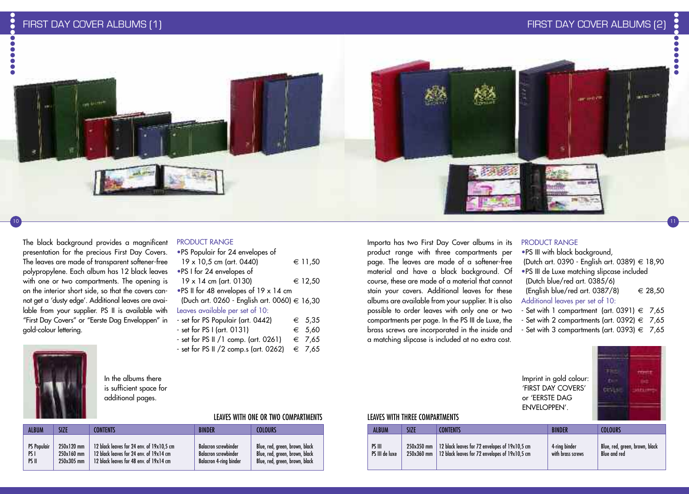

#### The black background provides a magnificent presentation for the precious First Day Covers. The leaves are made of transparent softener-free polypropylene. Each album has 12 black leaves with one or two compartments. The opening is on the interior short side, so that the covers cannot get a 'dusty edge'. Additional leaves are available from your supplier. PS II is available with L "First Day Covers" or "Eerste Dag Enveloppen" in gold-colour lettering.



| "To ropuluit for 24 envelopes of             |                 |  |
|----------------------------------------------|-----------------|--|
| 19 x 10,5 cm (art. 0440)                     | € 11,50         |  |
| •PS I for 24 envelopes of                    |                 |  |
| $19 \times 14$ cm (art. 0130)                | € 12,50         |  |
| .PS II for 48 envelopes of 19 x 14 cm        |                 |  |
| (Duch art. 0260 - English art. 0060) € 16,30 |                 |  |
| Leaves available per set of 10:              |                 |  |
| - set for PS Populair (art. 0442)            | $\epsilon$ 5.35 |  |
| - set for PS I (art. 0131)                   | € 5,60          |  |
| - set for PS II /1 comp. (art. 0261)         | € 7.65          |  |

- set for PS II /2 comp.s (art. 0262)  $\epsilon$  7,65

Importa has two First Day Cover albums in its product range with three compartments per page. The leaves are made of a softener-free material and have a black background. Of course, these are made of a material that cannot stain your covers. Additional leaves for these albums are available from your supplier. It is also possible to order leaves with only one or two compartments per page. In the PS III de Luxe, the brass screws are incorporated in the inside and a matching slipcase is included at no extra cost.

#### PRODUCT RANGE

•PS III with black background, (Dutch art. 0390 - English art. 0389) € 18,90 •PS III de Luxe matching slipcase included (Dutch blue/red art. 0385/6) (English blue/red art. 0387/8)  $\epsilon$  28,50 - Set with 1 compartment (art. 0391)  $\epsilon$  7,65

- 
- Set with 2 compartments (art. 0392)  $\epsilon$  7,65
- 



10

In the albums there is sufficient space for additional pages.

#### LEAVES WITH ONE OR TWO COMPARTMENTS

| <b>ALBUM</b>       | <b>SIZE</b> | <b>CONTENTS</b>                           | <b>BINDFR</b>                 | COLOURS                        |
|--------------------|-------------|-------------------------------------------|-------------------------------|--------------------------------|
| <b>PS Populair</b> | 250x120 mm  | 12 black leaves for 24 env. of 19x10,5 cm | <b>Balacron screwbinder</b>   | Blue, red, green, brown, black |
| PS I               | 250x160 mm  | 12 black leaves for 24 env. of 19x14 cm   | <b>Balacron screwbinder</b>   | Blue, red, green, brown, black |
| PS II              | 250x305 mm  | 12 black leaves for 48 env. of 19x14 cm   | <b>Balacron 4-ring binder</b> | Blue, red, green, brown, black |

#### LEAVES WITH THREE COMPARTMENTS

| ALBUM          | SIZE         | <b>CONTENTS</b>                                | <b>BINDER</b>     | <b>COLOURS</b>                 |
|----------------|--------------|------------------------------------------------|-------------------|--------------------------------|
| PS III         | 250x350 mm   | 12 black leaves for 72 envelopes of 19x10,5 cm | 4-rina binder     | Blue, red, green, brown, black |
| PS III de luxe | $250x360$ mm | 12 black leaves for 72 envelopes of 19x10,5 cm | with brass screws | Blue and red                   |

Additional leaves per set of 10:

- 
- Set with 3 compartments (art. 0393)  $\epsilon$  7,65

| Imprint in gold colour: |  |
|-------------------------|--|
| 'FIRST DAY COVERS'      |  |
| or 'EERSTE DAG          |  |
| ENVELOPPEN'.            |  |
|                         |  |



11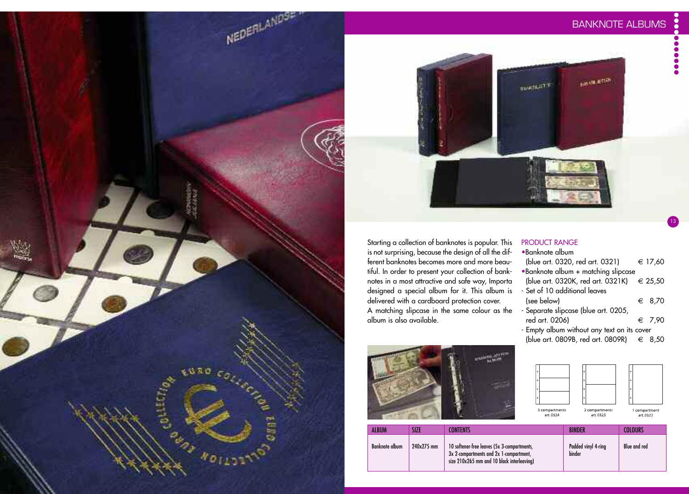13



Starting a collection of banknotes is popular. This is not surprising, because the design of all the different banknotes becomes more and more beautiful. In order to present your collection of banknotes in a most attractive and safe way, Importa designed a special album for it. This album is delivered with a cardboard protection cover. A matching slipcase in the same colour as the album is also available.



#### PRODUCT RANGE •Banknote album

| (blue art. 0320, red art. 0321)             | € 17,60         |
|---------------------------------------------|-----------------|
| •Banknote album + matching slipcase         |                 |
| (blue art. 0320K, red art. 0321K) € 25,50   |                 |
| - Set of 10 additional leaves               |                 |
| (see below)                                 | ∈ 8,70          |
| - Separate slipcase (blue art. 0205,        |                 |
| red art. 0206)                              | $\epsilon$ 7.90 |
| - Empty album without any text on its cover |                 |
| (blue art. 0809B, red art. 0809R) € 8,50    |                 |



| ALBUM                 | SIZE       | CONTFNTS                                                                                                                             | <b>BINDER</b>                 | <b>COLOURS</b> |
|-----------------------|------------|--------------------------------------------------------------------------------------------------------------------------------------|-------------------------------|----------------|
| <b>Banknote album</b> | 240x275 mm | 10 softener-free leaves (5x 3-compartments,<br>3x 2-compartments and 2x 1-compartment,<br>size 210x265 mm and 10 black interleaving) | Padded vinyl 4-ring<br>binder | Blue and red   |



NEDERLANDSE "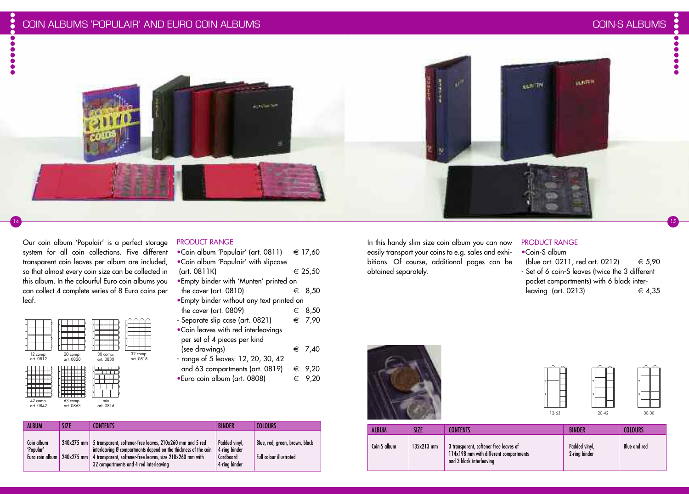14





#### Our coin album 'Populair' is a perfect storage system for all coin collections. Five different transparent coin leaves per album are included, so that almost every coin size can be collected in this album. In the colourful Euro coin albums you can collect 4 complete series of 8 Euro coins per leaf.

| $\circ$<br>۰<br>$\circ$<br>$\circ$<br>12 comp.<br>art. 0812 | ۰<br>$\circ$<br>$\circ$<br>$\circ$<br>20 comp.<br>art. 0820 | ۰<br>۰<br>۰<br>۰<br>30 comp.<br>art. 0830        | $\circ$<br>$\circ$<br>$\circ$<br>٠<br>32 comp.<br>art. 0818 |
|-------------------------------------------------------------|-------------------------------------------------------------|--------------------------------------------------|-------------------------------------------------------------|
| $\circ$<br>c<br>$\circ$<br>$\circ$<br>42 comp.              | $\circ$<br>۰<br>$\circ$<br>$\alpha$<br>63 comp.             | $\alpha$<br>$\circ$<br>$\circ$<br>$\circ$<br>mix |                                                             |
| art. 0842                                                   | art. 0863                                                   | art. 0816                                        |                                                             |

**CONTENTS** 

240x275 mm 5 transparent, softener-free leaves, 210x260 mm and 5 red 240x275 mm 4 transparent, softener-free leaves, size 210x260 mm with

32 compartments and 4 red interleaving

interleaving Ø compartments depend on the thickness of the coin

SIZE

**ALBUM** 

Coin album 'Popular' Euro coin album

# PRODUCT RANGE

| .Coin album 'Populair' (art. 0811)         |   | € 17,60         |
|--------------------------------------------|---|-----------------|
| .Coin album 'Populair' with slipcase       |   |                 |
| (art. 0811K)                               |   | € 25.50         |
| . Empty binder with 'Munten' printed on    |   |                 |
| the cover (art. 0810)                      |   | ∈ 8.50          |
| . Empty binder without any text printed on |   |                 |
| the cover (art. 0809)                      |   | $∈$ 8,50        |
| - Separate slip case (art. 0821)           |   | € 7,90          |
| .Coin leaves with red interleavings        |   |                 |
| per set of 4 pieces per kind               |   |                 |
| (see drawings)                             |   | $\epsilon$ 7,40 |
| - range of 5 leaves: 12, 20, 30, 42        |   |                 |
| and 63 compartments (art. 0819)            |   | $\epsilon$ 9,20 |
| •Euro coin album (art. 0808)               | € | 9.20            |

BINDER

Padded vinyl, 4-ring binder **Cardboard** 4-ring binder COLOURS

Blue, red, green, brown, black

Full colour illustrated





| ó |         |  |
|---|---------|--|
| ó |         |  |
|   | $30-30$ |  |

15

| ALBUM        | SIZE         | CONTENTS                                                                                                     | <b>BINDER</b>                  | COLOURS      |
|--------------|--------------|--------------------------------------------------------------------------------------------------------------|--------------------------------|--------------|
| Coin-S album | $135x213$ mm | 3 transparent, softener-free leaves of<br>114x198 mm with different compartments<br>and 3 black interleaving | Padded vinyl,<br>2-ring binder | Blue and red |

In this handy slim size coin album you can now easily transport your coins to e.g. sales and exhibitions. Of course, additional pages can be obtained separately.

#### PRODUCT RANGE

•Coin-S album (blue art. 0211, red art. 0212)  $\epsilon$  5,90 - Set of 6 coin-S leaves (twice the 3 different pocket compartments) with 6 black interleaving (art. 0213)  $\epsilon$  4,35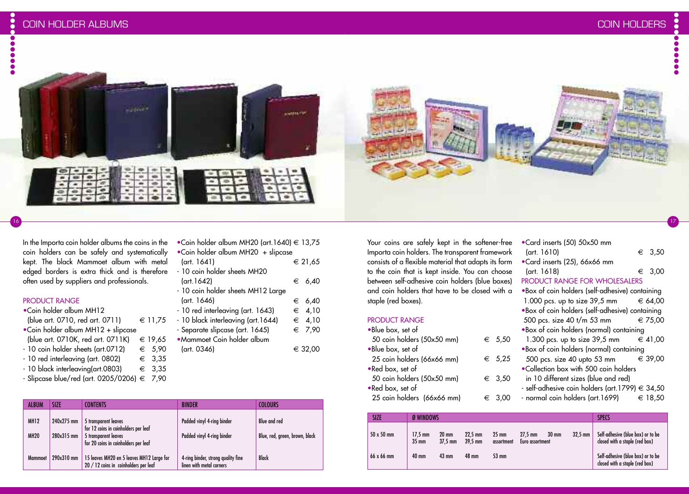$\bullet$ 



In the Importa coin holder albums the coins in the coin holders can be safely and systematically kept. The black Mammoet album with metal edged borders is extra thick and is therefore often used by suppliers and professionals.

**SUBAR** 

#### PRODUCT RANGE

- •Coin holder album MH12
- (blue art. 0710, red art. 0711)  $€ 11,75$
- •Coin holder album MH12 + slipcase
- (blue art. 0710K, red art. 0711K)  $€ 19,65$
- $-10$  coin holder sheets (art.0712)  $\epsilon$  5,90
- $10$  red interleaving (art. 0802)  $\epsilon$  3,35
- $10$  black interleaving(art.0803)  $\epsilon$  3,35
- Slipcase blue/red (art. 0205/0206)  $\in$  7,90

| <b>ALBUM</b> | <b>SIZE</b> | CONTENTS                                                                           | <b>BINDER</b>                                                  | <b>COLOURS</b>                 |
|--------------|-------------|------------------------------------------------------------------------------------|----------------------------------------------------------------|--------------------------------|
| <b>MH12</b>  | 240x275 mm  | 5 transparent leaves<br>for 12 coins in coinholders per leaf                       | Padded vinyl 4-ring binder                                     | Blue and red                   |
| <b>MH20</b>  | 280x315 mm  | 5 transparent leaves<br>for 20 coins in coinholders per leaf                       | Padded vinyl 4-ring binder                                     | Blue, red, green, brown, black |
| Mammoet      | 290x310 mm  | 15 leaves MH20 en 5 leaves MH12 Large for<br>20 / 12 coins in coinholders per leaf | 4-ring binder, strong quality fine<br>linen with metal corners | <b>Black</b>                   |

Your coins are safely kept in the softener-free Importa coin holders. The transparent framework consists of a flexible material that adapts its form to the coin that is kept inside. You can choose between self-adhesive coin holders (blue boxes) and coin holders that have to be closed with a staple (red boxes).

16 17

•Coin holder album MH20 (art.1640)  $\in$  13,75

 $(\text{art. } 1641)$   $\in$  21,65

 $(\text{art.1642})$   $\in$  6,40

 $(\text{art. } 1646)$   $\in$  6,40  $-10$  red interleaving (art. 1643)  $\epsilon \in 4,10$  $- 10$  black interleaving (art. 1644)  $\quad \in$  4,10 - Separate slipcase (art. 1645)  $\epsilon$  7,90

 $(\text{art. } 0346)$   $\in$  32,00

•Coin holder album MH20 + slipcase

- 10 coin holder sheets MH12 Large

- 10 coin holder sheets MH20

•Mammoet Coin holder album

| <b>PRODUCT RANGE</b>       |                 |                                                 |         |
|----------------------------|-----------------|-------------------------------------------------|---------|
| •Blue box, set of          |                 | .Box of coin holders (normal) containing        |         |
| 50 coin holders (50x50 mm) | € 5,50          | 1.300 pcs. up to size 39,5 mm $\in$ 41,00       |         |
| •Blue box, set of          |                 | .Box of coin holders (normal) containing        |         |
| 25 coin holders (66x66 mm) | € 5,25          |                                                 |         |
| .Red box, set of           |                 | .Collection box with 500 coin holders           |         |
| 50 coin holders (50x50 mm) | $∈$ 3,50        | in 10 different sizes (blue and red)            |         |
| .Red box, set of           |                 | - self-adhesive coin holders (art.1799) € 34,50 |         |
| 25 coin holders (66x66 mm) | $\epsilon$ 3,00 | - normal coin holders (art.1699)                | € 18,50 |
|                            |                 |                                                 |         |

•Card inserts (50) 50x50 mm

•Card inserts (25), 66x66 mm

 $(\text{art. } 1610)$   $\in$  3,50

 $(\text{art. } 1618)$   $\in$  3,00 PRODUCT RANGE FOR WHOLESALERS •Box of coin holders (self-adhesive) containing 1.000 pcs. up to size 39,5 mm  $64,00$ •Box of coin holders (self-adhesive) containing

| <b>SIZE</b>       | <b>Ø WINDOWS</b>                     |                              |                                        |                               |                                                         |                   | <b>SPECS</b>                                                        |
|-------------------|--------------------------------------|------------------------------|----------------------------------------|-------------------------------|---------------------------------------------------------|-------------------|---------------------------------------------------------------------|
| $50 \times 50$ mm | $17.5 \text{ mm}$<br>$35 \text{ mm}$ | $20 \text{ mm}$<br>$37.5$ mm | $22.5 \text{ mm}$<br>$39.5 \text{ mm}$ | $25 \text{ mm}$<br>assortment | $30 \text{ mm}$<br>$27.5 \text{ mm}$<br>Euro assortment | $32.5 \text{ mm}$ | Self-adhesive (blue box) or to be<br>closed with a staple (red box) |
| 66 x 66 mm        | $40 \text{ mm}$                      | $43 \text{ mm}$              | 48 mm                                  | $53 \text{ mm}$               |                                                         |                   | Self-adhesive (blue box) or to be<br>closed with a staple (red box) |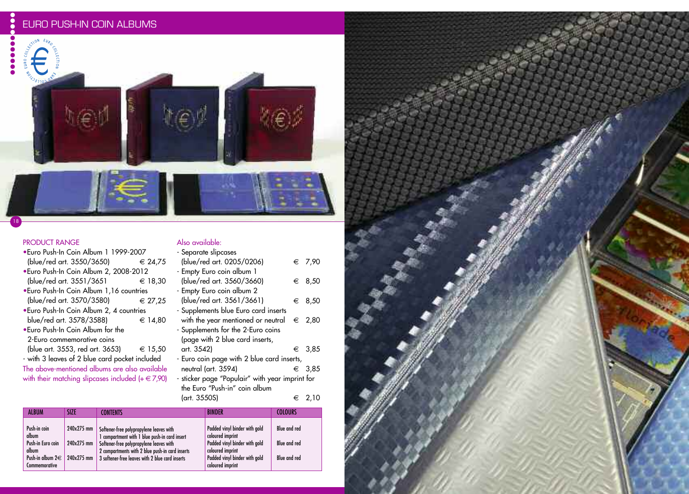# EURO PUSH-IN COIN ALBUMS



 $\ddot{\bullet}$ 

0



## PRODUCT RANGE

Commemorative

18

| •Euro Push-In Coin Album 1 1999-2007                  |                  |
|-------------------------------------------------------|------------------|
| (blue/red art. 3550/3650)                             | ∈ 24.75          |
| •Euro Push-In Coin Album 2, 2008-2012                 |                  |
| (blue/red art. 3551/3651                              | € 18,30          |
| . Euro Push-In Coin Album 1,16 countries              |                  |
| (blue/red art. 3570/3580)                             | $\epsilon$ 27.25 |
| • Euro Push-In Coin Album 2, 4 countries              |                  |
| blue/red art. 3578/3588)                              | € 14.80          |
| • Euro Push-In Coin Album for the                     |                  |
| 2-Euro commemorative coins                            |                  |
| (blue art. 3553, red art. 3653) $\epsilon$ 15,50      |                  |
| - with 3 leaves of 2 blue card pocket included        |                  |
| The above-mentioned albums are also available         |                  |
| with their matching slipcases included $(+ \in 7,90)$ |                  |
|                                                       |                  |

#### Also available: - Separate slipcases

| ooparaio siipeases                              |        |
|-------------------------------------------------|--------|
| (blue/red art. 0205/0206)                       | € 7.90 |
| - Empty Euro coin album 1                       |        |
| (blue/red art. 3560/3660)                       | € 8,50 |
| - Empty Euro coin album 2                       |        |
| (blue/red art. 3561/3661)                       | € 8,50 |
| - Supplements blue Euro card inserts            |        |
| with the year mentioned or neutral              | € 2,80 |
| - Supplements for the 2-Euro coins              |        |
| (page with 2 blue card inserts,                 |        |
| art. 3542)                                      | € 3,85 |
| - Euro coin page with 2 blue card inserts,      |        |
| neutral (art. 3594)                             | € 3,85 |
| - sticker page "Populair" with year imprint for |        |
| the Euro "Push-in" coin album                   |        |

|                                                                              |                                        | (art. 3550S)                                                                                                                                                                                                                              | $\epsilon$ 2.10                                                                                                                         |                                                                   |
|------------------------------------------------------------------------------|----------------------------------------|-------------------------------------------------------------------------------------------------------------------------------------------------------------------------------------------------------------------------------------------|-----------------------------------------------------------------------------------------------------------------------------------------|-------------------------------------------------------------------|
| <b>ALBUM</b>                                                                 | <b>SIZE</b>                            | <b>CONTENTS</b>                                                                                                                                                                                                                           | <b>BINDER</b>                                                                                                                           | <b>COLOURS</b>                                                    |
| Push-in coin<br>album<br>Push-in Euro coin<br>album<br>Push-in album $2 \in$ | 240x275 mm<br>240x275 mm<br>240x275 mm | Softener-free polypropylene leaves with<br>I compartment with 1 blue push-in card insert<br>Softener-free polypropylene leaves with<br>2 compartments with 2 blue push-in card inserts<br>3 softener-free leaves with 2 blue card inserts | Padded vinyl binder with gold<br>coloured imprint<br>Padded vinyl binder with gold<br>coloured imprint<br>Padded vinyl binder with gold | <b>Blue and red</b><br><b>Blue and red</b><br><b>Blue and red</b> |

coloured imprint

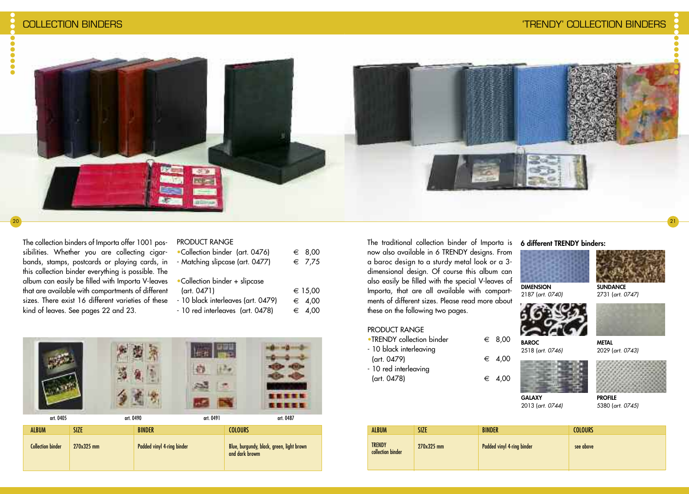

#### The collection binders of Importa offer 1001 possibilities. Whether you are collecting cigarbands, stamps, postcards or playing cards, in this collection binder everything is possible. The album can easily be filled with Importa V-leaves that are available with compartments of different sizes. There exist 16 different varieties of these

kind of leaves. See pages 22 and 23.

| •Collection binder (art. 0476)    | $\epsilon$ 8,00 |
|-----------------------------------|-----------------|
| - Matching slipcase (art. 0477)   | $\epsilon$ 7.75 |
| •Collection binder + slipcase     |                 |
| (art. 0471)                       | € 15,00         |
| 1011 1.1<br>$\sqrt{2}$ $\sqrt{2}$ | $\sqrt{2}$      |

PRODUCT RANGE

| - 10 black interleaves (art. 0479) | $\epsilon$ 4,00 |
|------------------------------------|-----------------|
| - 10 red interleaves (art. 0478)   | $\epsilon$ 4,00 |



The traditional collection binder of Importa is now also available in 6 TRENDY designs. From a baroc design to a sturdy metal look or a 3 dimensional design. Of course this album can also easily be filled with the special V-leaves of Importa, that are all available with compartments of different sizes. Please read more about these on the following two pages.

#### PRODUCT RANGE

- •TRENDY collection binder  $\epsilon$  8.00 - 10 black interleaving
- $(\text{art. } 0479)$   $\in$  4,00
- 10 red interleaving
- $(\text{art. } 0478)$   $\in$  4,00

**DIMENSION**

**6 different TRENDY binders:**





2187 (*art. 0740)*





**METAL** 2029 (*art. 0743)*





**GALAXY** 2013 (*art. 0744)*

**BAROC** 2518 (*art. 0746)*



| <b>ALBUM</b>                       | SIZE         | <b>BINDER</b>              | <b>COLOURS</b> |
|------------------------------------|--------------|----------------------------|----------------|
| <b>TRENDY</b><br>collection binder | $270x325$ mm | Padded vinyl 4-ring binder | see above      |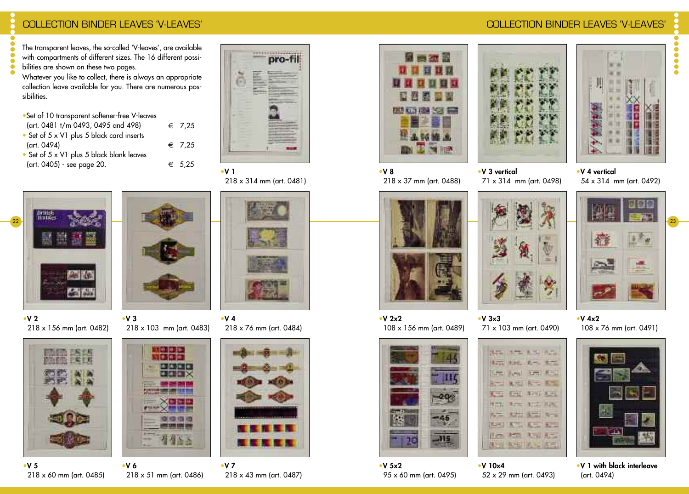## COLLECTION BINDER LEAVES 'V-LEAVES' COLLECTION BINDER LEAVES 'V-LEAVES'

The transparent leaves, the so-called 'V-leaves', are available with compartments of different sizes. The 16 different possibilities are shown on these two pages.

Whatever you like to collect, there is always an appropriate collection leave available for you. There are numerous possibilities.

- •Set of 10 transparent softener-free V-leaves
- $\arctan 0481 \t\t t/m 0493, 0495 \t\t and \t498$  € 7,25
- Set of 5 x V1 plus 5 black card inserts  $(\text{art. } 0494)$   $\in$  7,25
- Set of 5 x V1 plus 5 black blank leaves  $(\text{art. } 0405)$  - see page 20.  $\xi$  5,25



218 x 314 mm (art. 0481)



•**V 2**

•**V 5**

218 x 156 mm (art. 0482) •**V 3** 218 x 103 mm (art. 0483)



218 x 76 mm (art. 0484)







•**V 7** 218 x 43 mm (art. 0487)



•**V 8** 218 x 37 mm (art. 0488)

108 x 156 mm (art. 0489)



•**V 3 vertical**







54 x 314 mm (art. 0492)



•**V 4x2** 108 x 76 mm (art. 0491)



•**V 1 with black interleave** (art. 0494)



71 x 314 mm (art. 0498) •**V 4 vertical**  $\ddot{\bullet}$  $\ddot{\bullet}$ 

•**V 2x2**



45

**J15** 

52 x 29 mm (art. 0493)

•**V 1**

# •**V 4**

218 x 60 mm (art. 0485) •**V 6** 218 x 51 mm (art. 0486)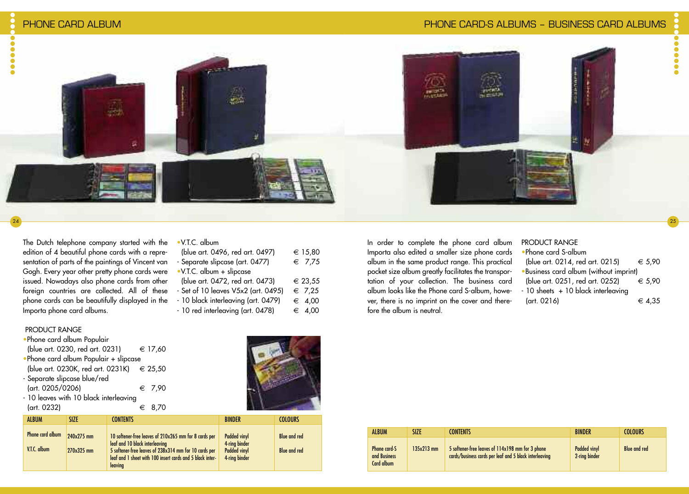

 $^{24}$  ) and the contract of the contract of the contract of the contract of the contract of the contract of the contract of the contract of the contract of the contract of the contract of the contract of the contract of

#### The Dutch telephone company started with the edition of 4 beautiful phone cards with a representation of parts of the paintings of Vincent van Gogh. Every year other pretty phone cards were issued. Nowadays also phone cards from other foreign countries are collected. All of these phone cards can be beautifully displayed in the Importa phone card albums.

| $\bullet$ V.T.C. album |  |
|------------------------|--|
|                        |  |

| (blue art. 0496, red art. 0497)     | € 15,80         |
|-------------------------------------|-----------------|
| - Separate slipcase (art. 0477)     | $\epsilon$ 7,75 |
| •V.T.C. album + slipcase            |                 |
| (blue art. 0472, red art. 0473)     | € 23,55         |
| - Set of 10 leaves V5x2 (art. 0495) | $\epsilon$ 7,25 |
| - 10 black interleaving (art. 0479) | $\epsilon$ 4,00 |
| - 10 red interleaving (art. 0478)   | $\epsilon$ 4.00 |
|                                     |                 |

In order to complete the phone card album Importa also edited a smaller size phone cards album in the same product range. This practical pocket size album greatly facilitates the transportation of your collection. The business card album looks like the Phone card S-album, however, there is no imprint on the cover and therefore the album is neutral.

| PRODUCT RANGE                          |            |
|----------------------------------------|------------|
| • Phone card S-album                   |            |
| (blue art. 0214, red art. 0215)        | € 5.90     |
| .Business card album (without imprint) |            |
| (blue art. 0251, red art. 0252)        | € 5.90     |
| - 10 sheets + 10 black interleaving    |            |
| (art. 0216)                            | $\in$ 4,35 |

#### PRODUCT RANGE

| . Phone card album Populair               |                 |  |
|-------------------------------------------|-----------------|--|
| (blue art. 0230, red art. 0231)           | € 17,60         |  |
| • Phone card album Populair + slipcase    |                 |  |
| (blue art. 0230K, red art. 0231K) € 25,50 |                 |  |
| - Separate slipcase blue/red              |                 |  |
| (art. 0205/0206)                          | $\epsilon$ 7.90 |  |
| - 10 leaves with 10 black interleaving    |                 |  |
| (art. 0232)                               | - 8.70          |  |



| <b>ALBUM</b>                     | SI7F                     | <b>CONTENTS</b>                                                                                                                                                                                                          | <b>BINDER</b>                                                                | <b>COLOURS</b>                      |
|----------------------------------|--------------------------|--------------------------------------------------------------------------------------------------------------------------------------------------------------------------------------------------------------------------|------------------------------------------------------------------------------|-------------------------------------|
| Phone card album<br>V.T.C. album | 240x275 mm<br>270x325 mm | 10 softener-free leaves of 210x265 mm for 8 cards per<br>leaf and 10 black interleaving<br>5 softener-free leaves of 238x314 mm for 10 cards per<br>leaf and 1 sheet with 100 insert cards and 5 black inter-<br>leaving | <b>Padded vinyl</b><br>4-ring binder<br><b>Padded vinyl</b><br>4-ring binder | Blue and red<br><b>Blue and red</b> |

| <b>ALBUM</b>                               | SI7F         | <b>CONTENTS</b>                                                                                            | <b>BINDFR</b>                        | COLOURS             |
|--------------------------------------------|--------------|------------------------------------------------------------------------------------------------------------|--------------------------------------|---------------------|
| Phone card-S<br>and Business<br>Card album | $135x213$ mm | 5 softener-free leaves of 114x198 mm for 3 phone<br>cards/business cards per leaf and 5 black interleaving | <b>Padded vinvl</b><br>2-ring binder | <b>Blue and red</b> |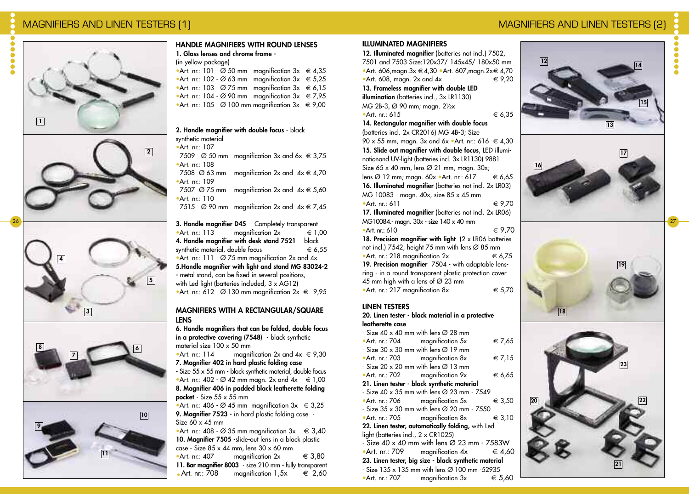# MAGNIFIERS AND LINEN TESTERS (1) NAGNIFIERS AND LINEN TESTERS (2)



**1**







**11**

#### **HANDLE MAGNIFIERS WITH ROUND LENSES 1. Glass lenses and chrome frame -**

#### (in yellow package)

- •Art. nr.: 101  $\varnothing$  50 mm magnification 3x  $\epsilon$  4,35 •Art. nr.: 102 - Ø 63 mm magnification  $3x \text{ } \in 5,25$ •Art. nr.: 103 -  $\varnothing$  75 mm magnification 3x  $\epsilon$  6,15 •Art. nr.: 104 - Ø 90 mm magnification  $3x \text{ } \in 7,95$
- •Art. nr.: 105 Ø 100 mm magnification  $3x \text{ } \in 9,00$

#### **2. Handle magnifier with double focus** - black synthetic material •Art. nr.: 107

- 7509 Ø 50 mm magnification  $3x$  and  $6x \in 3.75$ •Art. nr.: 108
- 7508-  $\varnothing$  63 mm magnification 2x and  $4x \in 4,70$ •Art. nr.: 109
- 7507-  $\varnothing$  75 mm magnification 2x and  $4x \in 5,60$ •Art. nr.: 110
- 7515  $\varnothing$  90 mm magnification 2x and  $4x \in 7,45$

**3. Handle magnifier D45** - Completely transparent •Art. nr.: 113 magnification  $2x \in 1,00$ **4. Handle magnifier with desk stand 7521** - black synthetic material, double focus  $\epsilon$  6,55 •Art. nr.: 111 -  $\varnothing$  75 mm magnification 2x and 4x **5.Handle magnifier with light and stand MG 83024-2 -** metal stand, can be fixed in several positions, with Led light (batteries included, 3 x AG12) •Art. nr.: 612 -  $\varnothing$  130 mm magnification  $2x \in 9.95$ 

#### **MAGNIFIERS WITH A RECTANGULAR/SQUARE LENS**

**6. Handle magnifiers that can be folded, double focus in a protective covering (7548)** - black synthetic material size 100 x 50 mm •Art. nr.: 114 magnification 2x and  $4x \text{ } \in 9,30$ **7. Magnifier 402 in hard plastic folding case** - Size 55 x 55 mm - black synthetic material, double focus •Art. nr.: 402 -  $\varnothing$  42 mm magn. 2x and  $4x \in 1,00$ 

**8. Magnifier 406 in padded black leatherette folding pocket** - Size 55 x 55 mm

•Art. nr.: 406 -  $\varnothing$  45 mm magnification  $3x \in 3,25$ **9. Magnifier 7523 -** in hard plastic folding case - Size  $60 \times 45$  mm

•Art. nr.: 408 -  $\varnothing$  35 mm magnification  $3x \in 3,40$ **10. Magnifier 7505** -slide-out lens in a black plastic case - Size 85 x 44 mm, lens 30 x 60 mm •Art. nr.: 407 magnification  $2x \in 3.80$ **11. Bar magnifier 8003** - size 210 mm **-** fully transparent .Art. nr.: <sup>708</sup> magnification 1,5x € 2,60

#### **ILLUMINATED MAGNIFIERS**

**12. Illuminated magnifier** (batteries not incl.) 7502, 7501 and 7503 Size:120x37/ 145x45/ 180x50 mm •Art. 606, magn. $3x \in 4,30$  •Art. 607, magn. $2x \in 4,70$ •Art. 608, magn. 2x and 4x  $\epsilon$  9,20 **13. Frameless magnifier with double LED illumination** (batteries incl., 3x LR1130) MG 2B-3, Ø 90 mm; magn. 2½x •Art. nr.: 615  $\epsilon$  6.35 **14. Rectangular magnifier with double focus** (batteries incl. 2x CR2016) MG 4B-3; Size 90 x 55 mm, magn. 3x and 6x  $\bullet$ Art. nr.: 616  $\in$  4,30 **15. Slide out magnifier with double focus**, LED illuminationand UV-light (batteries incl. 3x LR1130) 9881 Size  $65 \times 40$  mm, lens  $\varnothing$  21 mm, magn. 30x; lens  $\varnothing$  12 mm; magn. 60x •Art. nr.: 617  $\epsilon$  6,65 **16. Illuminated magnifier** (batteries not incl. 2x LR03) MG 10083 - magn. 40x, size 85 x 45 mm •Art. nr: 611  $\in$  9.70 **17. Illuminated magnifier** (batteries not incl. 2x LR06) MG10084.- magn. 30x - size 140 x 40 mm

•Art. nr: 610  $\in$  9.70 **18. Precision magnifier with light** (2 x LR06 batteries not incl.) 7542, height 75 mm with lens Ø 85 mm •Art. nr.: 218 magnification  $2x \in 6.75$ **19. Precision magnifier** 7504 - with adaptable lensring - in a round transparent plastic protection cover 45 mm high with a lens of  $\varnothing$  23 mm •Art. nr.: 217 magnification  $8x \in 5.70$ 

#### **LINEN TESTERS**

**20. Linen tester - black material in a protective leatherette case**

| - Size 40 x 40 mm with lens $\varnothing$ 28 mm        |                                                                  |                 |
|--------------------------------------------------------|------------------------------------------------------------------|-----------------|
| • Art. nr.: 704 magnification 5x                       |                                                                  | € 7,65          |
| - Size 30 $\times$ 30 mm with lens $\varnothing$ 19 mm |                                                                  |                 |
| • Art. nr.: 703 magnification 8x                       |                                                                  | $\in 7.15$      |
| - Size 20 $\times$ 20 mm with lens $\varnothing$ 13 mm |                                                                  |                 |
|                                                        | • Art. nr.: 702 magnification 9 $x$                              | $\epsilon$ 6,65 |
|                                                        | 21. Linen tester - black synthetic material                      |                 |
|                                                        | - Size 40 x 35 mm with lens Ø 23 mm - 7549                       |                 |
|                                                        | $\bullet$ Art. nr.: 706 magnification 5x                         | $\epsilon$ 3,50 |
|                                                        | - Size 35 x 30 mm with lens Ø 20 mm - 7550                       |                 |
|                                                        | • Art. nr.: 705 magnification 8x $\in$ 3,10                      |                 |
|                                                        | 22. Linen tester, automatically folding, with Led                |                 |
| light (batteries incl., $2 \times CR1025$ )            |                                                                  |                 |
|                                                        | - Size 40 x 40 mm with lens $\varnothing$ 23 mm - 7583W          |                 |
|                                                        | •Art. nr.: 709 magnification $4x \in 4,60$                       |                 |
| 23. Linen tester, big size - black synthetic material  |                                                                  |                 |
|                                                        | - Size $135 \times 135$ mm with lens $\varnothing$ 100 mm -52935 |                 |
|                                                        | •Art. nr.: 707 magnification $3x \in 5.60$                       |                 |









 $\ddot{\bullet}$ 

27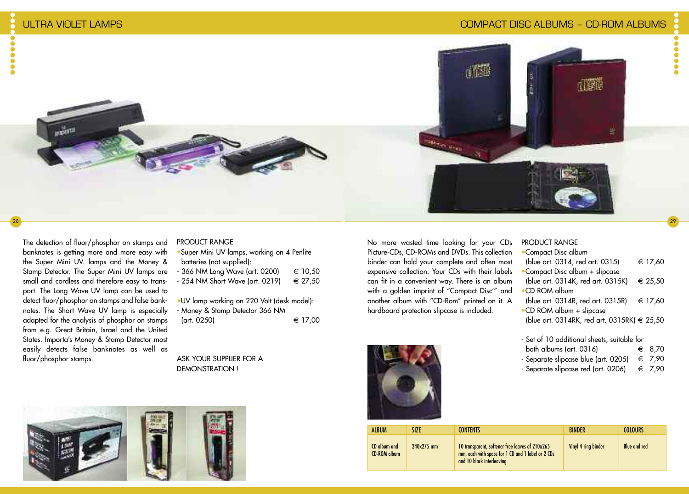

#### The detection of fluor/phosphor on stamps and banknotes is getting more and more easy with the Super Mini UV. lamps and the Money & Stamp Detector. The Super Mini UV lamps are small and cordless and therefore easy to transport. The Long Wave UV lamp can be used to detect fluor/phosphor on stamps and false banknotes. The Short Wave UV lamp is especially adapted for the analysis of phosphor on stamps from e.g. Great Britain, Israel and the United States. Importa's Money & Stamp Detector most easily detects false banknotes as well as fluor/phosphor stamps.

#### PRODUCT RANGE

| .Super Mini UV lamps, working on 4 Penlite |         |  |
|--------------------------------------------|---------|--|
| batteries (not supplied):                  |         |  |
| - 366 NM Long Wave (art. 0200)             | € 10.50 |  |
| - 254 NM Short Wave (art. 0219)            | € 27.50 |  |
|                                            |         |  |

•UV lamp working on 220 Volt (desk model): - Money & Stamp Detector 366 NM  $(\text{art. } 0250)$   $\in$  17,00

ASK YOUR SUPPLIER FOR A DEMONSTRATION !



No more wasted time looking for your CDs Picture-CDs, CD-ROMs and DVDs. This collection binder can hold your complete and often most expensive collection. Your CDs with their labels can fit in a convenient way. There is an album with a golden imprint of "Compact Disc'" and another album with "CD-Rom" printed on it. A hardboard protection slipcase is included.



| <b>PRODUCT RANGE</b>                         |
|----------------------------------------------|
| •Compact Disc album                          |
| (blue art. 0314, red art. 0315)<br>€ 17,60   |
| •Compact Disc album + slipcase               |
| (blue art. 0314K, red art. 0315K)<br>€ 25,50 |
| $\bullet$ CD ROM album                       |
| (blue art. 0314R, red art. 0315R)<br>€ 17.60 |
| •CD ROM album + slipcase                     |
| (blue art. 0314RK, red art. 0315RK) € 25,50  |
|                                              |
| - Set of 10 additional sheets, suitable for  |

29

 $\bullet$ 

- both albums (art. 0316)  $\epsilon$  8,70
- 
- Separate slipcase blue (art. 0205)  $\epsilon$  7,90<br>- Separate slipcase red (art. 0206)  $\epsilon$  7,90 - Separate slipcase red (art. 0206)

| <b>ALBUM</b>                 | 17F        | <b>CONTENTS</b>                                                                                                                   | <b>BINDFR</b>       | <b>COLOURS</b>      |
|------------------------------|------------|-----------------------------------------------------------------------------------------------------------------------------------|---------------------|---------------------|
| CD album and<br>CD-ROM album | 240x275 mm | 10 transparent, softener-free leaves of 210x265<br>mm, each with space for 1 CD and 1 label or 2 CDs<br>and 10 black interleaving | Vinyl 4-ring binder | <b>Blue and red</b> |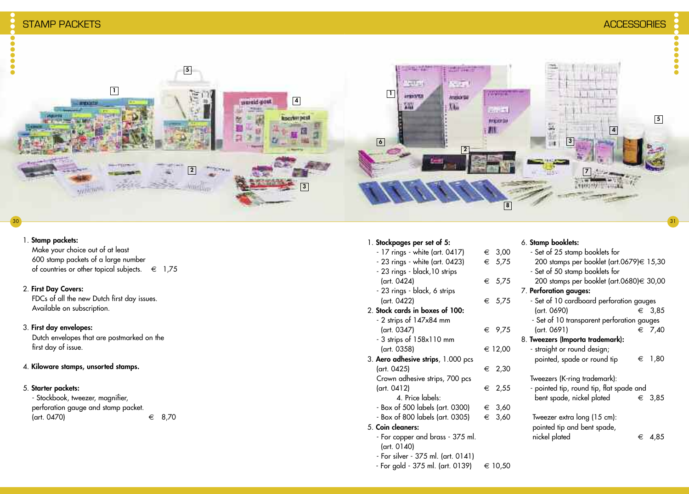......



#### 1. **Stamp packets:**

Make your choice out of at least 600 stamp packets of a large number of countries or other topical subjects.  $\epsilon$  1,75

#### 2. **First Day Covers:**

FDCs of all the new Dutch first day issues. Available on subscription.

#### 3. **First day envelopes:**

Dutch envelopes that are postmarked on the first day of issue.

#### 4. **Kiloware stamps, unsorted stamps.**

#### 5. **Starter packets:**

- Stockbook, tweezer, magnifier, perforation gauge and stamp packet.  $(\text{art. } 0470)$   $\in$  8.70

#### 1. **Stockpages per set of 5:**

- $17$  rings white (art. 0417)  $∈ 3,00$  $-$  23 rings - white (art. 0423)  $\qquad \in 5.7$ - 23 rings - black,10 strips  $\arctan 0424$   $\in$  5,7 - 23 rings - black, 6 strips  $(\text{art. } 0422)$   $\in$  5,7 2. **Stock cards in boxes of 100:** - 2 strips of 147x84 mm  $(\text{art. } 0347)$   $\in$  9,7 - 3 strips of 158x110 mm  $(\text{art. } 0358)$   $\in$  12,0 3. **Aero adhesive strips**, 1.000 pcs  $(\text{art. 0425})$   $\in$  2,3 Crown adhesive strips, 700 pcs  $(\text{art. } 0412)$  ∈ 2,5 4. Price labels:  $-$  Box of 500 labels (art. 0300)  $\epsilon$  3,6  $-$  Box of 800 labels (art. 0305)  $\epsilon$  3.6 5. **Coin cleaners:** - For copper and brass - 375 ml. (art. 0140)
	- For silver 375 ml. (art. 0141)
	- $-$  For gold  $-$  375 ml. (art. 0139)  $\in$  10,50

# 6. **Stamp booklets:**

| )0 | - Set of 25 stamp booklets for             |
|----|--------------------------------------------|
| 75 | 200 stamps per booklet (art.0679)€ 15,30   |
|    | - Set of 50 stamp booklets for             |
| 75 | 200 stamps per booklet (art.0680)€ 30,00   |
|    | 7. Perforation gauges:                     |
| 75 | - Set of 10 cardboard perforation gauges   |
|    | (art. 0690)<br>€ 3,85                      |
|    | - Set of 10 transparent perforation gauges |
| 75 | (art. 0691)<br>€ 7,40                      |
|    | 8. Tweezers (Importa trademark):           |
| )0 | - straight or round design;                |
|    | pointed, spade or round tip<br>1,80<br>€   |
| 30 |                                            |
|    | Tweezers (K-ring trademark):               |
| 55 | - pointed tip, round tip, flat spade and   |
|    | bent spade, nickel plated<br>€ 3,85        |
| 50 |                                            |
| 50 | Tweezer extra long (15 cm):                |
|    | pointed tip and bent spade,                |
|    | nickel plated<br>4,85<br>€                 |
|    |                                            |